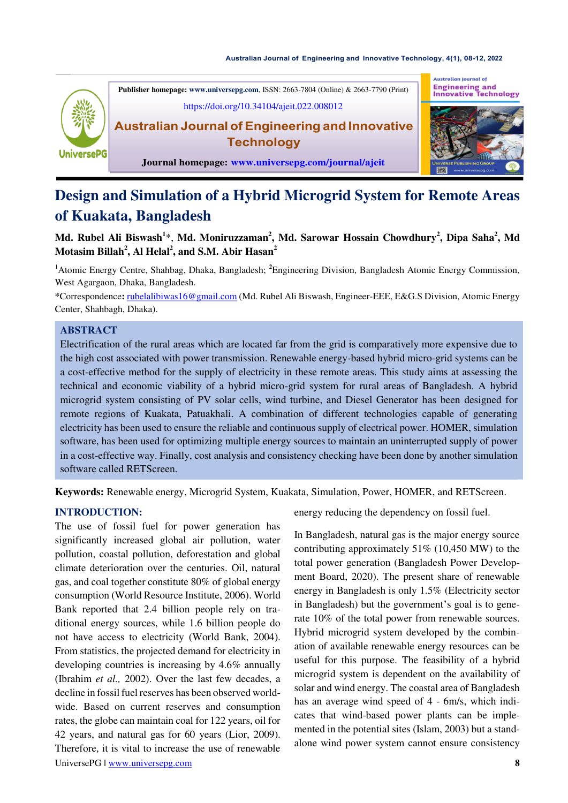#### **Australian Journal of Engineering and Innovative Technology, [4\(1\), 08-12, 2022](https://doi.org/10.34104/ajeit.022.008012)**



**Publisher homepage[: www.universepg.com](http://www.universepg.com/)**, ISSN: 2663-7804 (Online) & 2663-7790 (Print) <https://doi.org/10.34104/ajeit.022.008012> **Australian Journal ofEngineering and Innovative** 

**Journal homepage: [www.universepg.com/journal/ajeit](http://www.universepg.com/journal/ajeit)**

**Technology** 





# **Design and Simulation of a Hybrid Microgrid System for Remote Areas of Kuakata, Bangladesh**

**Md. Rubel Ali Biswash<sup>1</sup>** \*, **Md. Moniruzzaman<sup>2</sup> , Md. Sarowar Hossain Chowdhury<sup>2</sup> , Dipa Saha<sup>2</sup> , Md Motasim Billah<sup>2</sup> , Al Helal<sup>2</sup> , and S.M. Abir Hasan<sup>2</sup>**

<sup>1</sup>Atomic Energy Centre, Shahbag, Dhaka, Bangladesh; **<sup>2</sup>**Engineering Division, Bangladesh Atomic Energy Commission, West Agargaon, Dhaka, Bangladesh.

**\***Correspondence**:** [rubelalibiwas16@gmail.com \(](mailto:rubelalibiwas16@gmail.com)Md. Rubel Ali Biswash, Engineer-EEE, E&G.S Division, Atomic Energy Center, Shahbagh, Dhaka).

### **ABSTRACT**

Electrification of the rural areas which are located far from the grid is comparatively more expensive due to the high cost associated with power transmission. Renewable energy-based hybrid micro-grid systems can be a cost-effective method for the supply of electricity in these remote areas. This study aims at assessing the technical and economic viability of a hybrid micro-grid system for rural areas of Bangladesh. A hybrid microgrid system consisting of PV solar cells, wind turbine, and Diesel Generator has been designed for remote regions of Kuakata, Patuakhali. A combination of different technologies capable of generating electricity has been used to ensure the reliable and continuous supply of electrical power. HOMER, simulation software, has been used for optimizing multiple energy sources to maintain an uninterrupted supply of power in a cost-effective way. Finally, cost analysis and consistency checking have been done by another simulation software called RETScreen.

**Keywords:** Renewable energy, Microgrid System, Kuakata, Simulation, Power, HOMER, and RETScreen.

## **INTRODUCTION:**

UniversePG l [www.universepg.com](http://www.universepg.com/) **8** The use of fossil fuel for power generation has significantly increased global air pollution, water pollution, coastal pollution, deforestation and global climate deterioration over the centuries. Oil, natural gas, and coal together constitute 80% of global energy consumption (World Resource Institute, 2006). World Bank reported that 2.4 billion people rely on traditional energy sources, while 1.6 billion people do not have access to electricity (World Bank, 2004). From statistics, the projected demand for electricity in developing countries is increasing by 4.6% annually (Ibrahim *et al.,* 2002). Over the last few decades, a decline in fossil fuel reserves has been observed worldwide. Based on current reserves and consumption rates, the globe can maintain coal for 122 years, oil for 42 years, and natural gas for 60 years (Lior, 2009). Therefore, it is vital to increase the use of renewable

energy reducing the dependency on fossil fuel.

In Bangladesh, natural gas is the major energy source contributing approximately 51% (10,450 MW) to the total power generation (Bangladesh Power Development Board, 2020). The present share of renewable energy in Bangladesh is only 1.5% (Electricity sector in Bangladesh) but the government's goal is to generate 10% of the total power from renewable sources. Hybrid microgrid system developed by the combination of available renewable energy resources can be useful for this purpose. The feasibility of a hybrid microgrid system is dependent on the availability of solar and wind energy. The coastal area of Bangladesh has an average wind speed of 4 - 6m/s, which indicates that wind-based power plants can be implemented in the potential sites (Islam, 2003) but a standalone wind power system cannot ensure consistency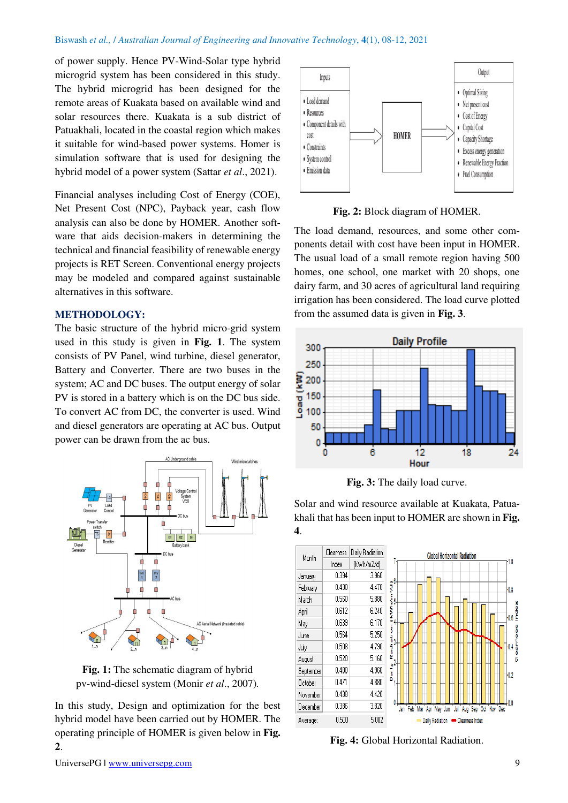of power supply. Hence PV-Wind-Solar type hybrid microgrid system has been considered in this study. The hybrid microgrid has been designed for the remote areas of Kuakata based on available wind and solar resources there. Kuakata is a sub district of Patuakhali, located in the coastal region which makes it suitable for wind-based power systems. Homer is simulation software that is used for designing the hybrid model of a power system (Sattar *et al*., 2021).

Financial analyses including Cost of Energy (COE), Net Present Cost (NPC), Payback year, cash flow analysis can also be done by HOMER. Another software that aids decision-makers in determining the technical and financial feasibility of renewable energy projects is RET Screen. Conventional energy projects may be modeled and compared against sustainable alternatives in this software.

### **METHODOLOGY:**

The basic structure of the hybrid micro-grid system used in this study is given in **Fig. 1**. The system consists of PV Panel, wind turbine, diesel generator, Battery and Converter. There are two buses in the system; AC and DC buses. The output energy of solar PV is stored in a battery which is on the DC bus side. To convert AC from DC, the converter is used. Wind and diesel generators are operating at AC bus. Output power can be drawn from the ac bus.



**Fig. 1:** The schematic diagram of hybrid pv-wind-diesel system (Monir *et al*., 2007)*.*

In this study, Design and optimization for the best hybrid model have been carried out by HOMER. The operating principle of HOMER is given below in **Fig. 2**.



**Fig. 2:** Block diagram of HOMER.

The load demand, resources, and some other components detail with cost have been input in HOMER. The usual load of a small remote region having 500 homes, one school, one market with 20 shops, one dairy farm, and 30 acres of agricultural land requiring irrigation has been considered. The load curve plotted from the assumed data is given in **Fig. 3**.



**Fig. 3:** The daily load curve.

Solar and wind resource available at Kuakata, Patuakhali that has been input to HOMER are shown in **Fig. 4**.



**Fig. 4:** Global Horizontal Radiation.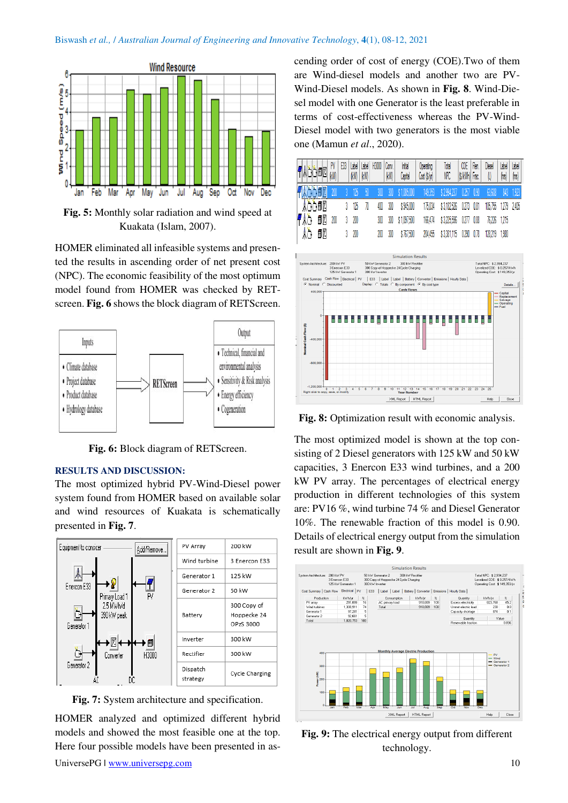#### Biswash *et al.,* / *Australian Journal of Engineering and Innovative Technology*, **4**(1), 08-12, 2021



**Fig. 5:** Monthly solar radiation and wind speed at Kuakata (Islam, 2007).

HOMER eliminated all infeasible systems and presented the results in ascending order of net present cost (NPC). The economic feasibility of the most optimum model found from HOMER was checked by RETscreen. **Fig. 6** shows the block diagram of RETScreen.



**Fig. 6:** Block diagram of RETScreen.

#### **RESULTS AND DISCUSSION:**

The most optimized hybrid PV-Wind-Diesel power system found from HOMER based on available solar and wind resources of Kuakata is schematically presented in **Fig. 7**.



**Fig. 7:** System architecture and specification.

HOMER analyzed and optimized different hybrid models and showed the most feasible one at the top. Here four possible models have been presented in ascending order of cost of energy (COE).Two of them are Wind-diesel models and another two are PV-Wind-Diesel models. As shown in **Fig. 8**. Wind-Diesel model with one Generator is the least preferable in terms of cost-effectiveness whereas the PV-Wind-Diesel model with two generators is the most viable one (Mamun *et al*., 2020).





**Fig. 8:** Optimization result with economic analysis.

The most optimized model is shown at the top consisting of 2 Diesel generators with 125 kW and 50 kW capacities, 3 Enercon E33 wind turbines, and a 200 kW PV array. The percentages of electrical energy production in different technologies of this system are: PV16 %, wind turbine 74 % and Diesel Generator 10%. The renewable fraction of this model is 0.90. Details of electrical energy output from the simulation result are shown in **Fig. 9**.



**Fig. 9:** The electrical energy output from different technology.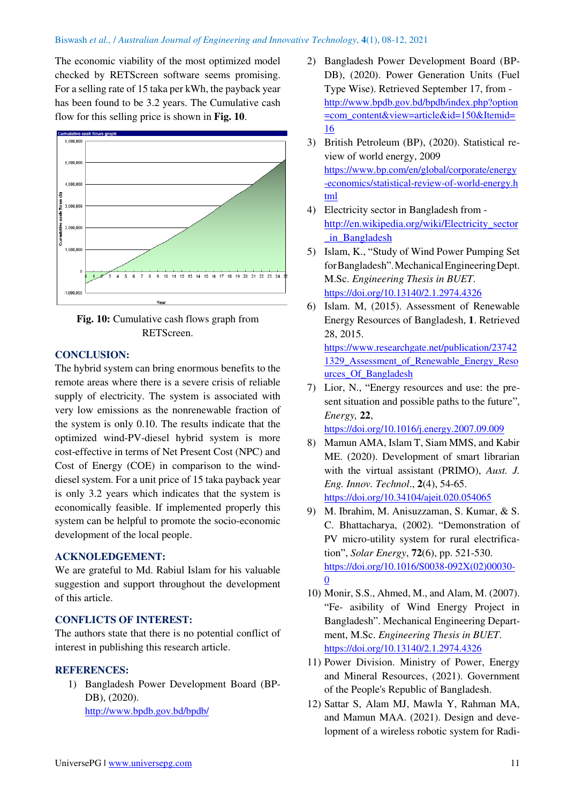#### Biswash *et al.,* / *Australian Journal of Engineering and Innovative Technology*, **4**(1), 08-12, 2021

The economic viability of the most optimized model checked by RETScreen software seems promising. For a selling rate of 15 taka per kWh, the payback year has been found to be 3.2 years. The Cumulative cash flow for this selling price is shown in **Fig. 10**.





## **CONCLUSION:**

The hybrid system can bring enormous benefits to the remote areas where there is a severe crisis of reliable supply of electricity. The system is associated with very low emissions as the nonrenewable fraction of the system is only 0.10. The results indicate that the optimized wind-PV-diesel hybrid system is more cost-effective in terms of Net Present Cost (NPC) and Cost of Energy (COE) in comparison to the winddiesel system. For a unit price of 15 taka payback year is only 3.2 years which indicates that the system is economically feasible. If implemented properly this system can be helpful to promote the socio-economic development of the local people.

#### **ACKNOLEDGEMENT:**

We are grateful to Md. Rabiul Islam for his valuable suggestion and support throughout the development of this article.

#### **CONFLICTS OF INTEREST:**

The authors state that there is no potential conflict of interest in publishing this research article.

#### **REFERENCES:**

1) Bangladesh Power Development Board (BP-DB), (2020). <http://www.bpdb.gov.bd/bpdb/>

- 2) Bangladesh Power Development Board (BP-DB), (2020). Power Generation Units (Fuel Type Wise). Retrieved September 17, from [http://www.bpdb.gov.bd/bpdb/index.php?option](http://www.bpdb.gov.bd/bpdb/index.php?option=com_content&view=article&id=150&Itemid=16) [=com\\_content&view=article&id=150&Itemid=](http://www.bpdb.gov.bd/bpdb/index.php?option=com_content&view=article&id=150&Itemid=16) [16](http://www.bpdb.gov.bd/bpdb/index.php?option=com_content&view=article&id=150&Itemid=16)
- 3) British Petroleum (BP), (2020). Statistical review of world energy, 2009 [https://www.bp.com/en/global/corporate/energy](https://www.bp.com/en/global/corporate/energy-economics/statistical-review-of-world-energy.html) [-economics/statistical-review-of-world-energy.h](https://www.bp.com/en/global/corporate/energy-economics/statistical-review-of-world-energy.html) [tml](https://www.bp.com/en/global/corporate/energy-economics/statistical-review-of-world-energy.html)
- 4) Electricity sector in Bangladesh from [http://en.wikipedia.org/wiki/Electricity\\_sector](http://en.wikipedia.org/wiki/Electricity_sector_in_Bangladesh) [\\_in\\_Bangladesh](http://en.wikipedia.org/wiki/Electricity_sector_in_Bangladesh)
- 5) Islam, K., "Study of Wind Power Pumping Set forBangladesh".MechanicalEngineeringDept. M.Sc. *Engineering Thesis in BUET*. <https://doi.org/10.13140/2.1.2974.4326>
- 6) Islam. M, (2015). Assessment of Renewable Energy Resources of Bangladesh, **1**. Retrieved 28, 2015.

[https://www.researchgate.net/publication/23742](https://www.researchgate.net/publication/237421329_Assessment_of_Renewable_Energy_Resources_Of_Bangladesh) [1329\\_Assessment\\_of\\_Renewable\\_Energy\\_Reso](https://www.researchgate.net/publication/237421329_Assessment_of_Renewable_Energy_Resources_Of_Bangladesh) [urces\\_Of\\_Bangladesh](https://www.researchgate.net/publication/237421329_Assessment_of_Renewable_Energy_Resources_Of_Bangladesh) 

7) Lior, N., "Energy resources and use: the present situation and possible paths to the future", *Energy,* **22**,

<https://doi.org/10.1016/j.energy.2007.09.009>

- 8) Mamun AMA, Islam T, Siam MMS, and Kabir ME. (2020). Development of smart librarian with the virtual assistant (PRIMO), *Aust. J. Eng. Innov. Technol*., **2**(4), 54-65. <https://doi.org/10.34104/ajeit.020.054065>
- 9) M. Ibrahim, M. Anisuzzaman, S. Kumar, & S. C. Bhattacharya, (2002). "Demonstration of PV micro-utility system for rural electrification", *Solar Energy*, **72**(6), pp. 521-530. [https://doi.org/10.1016/S0038-092X\(02\)00030-](https://doi.org/10.1016/S0038-092X(02)00030-0) [0](https://doi.org/10.1016/S0038-092X(02)00030-0)
- 10) Monir, S.S., Ahmed, M., and Alam, M. (2007). "Fe- asibility of Wind Energy Project in Bangladesh". Mechanical Engineering Department, M.Sc. *Engineering Thesis in BUET*. <https://doi.org/10.13140/2.1.2974.4326>
- 11) Power Division. Ministry of Power, Energy and Mineral Resources, (2021). Government of the People's Republic of Bangladesh.
- 12) Sattar S, Alam MJ, Mawla Y, Rahman MA, and Mamun MAA. (2021). Design and development of a wireless robotic system for Radi-